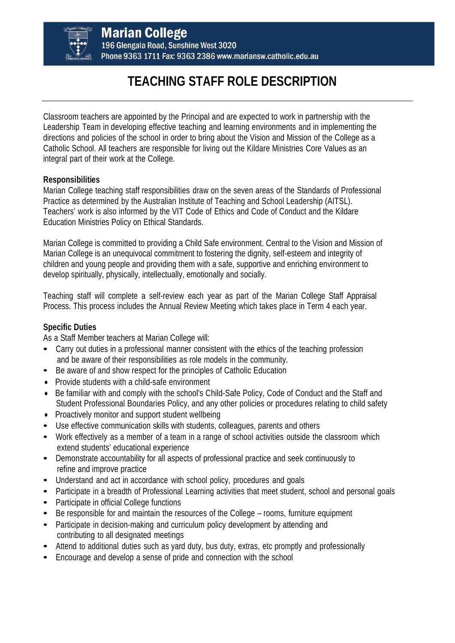

**Marian College** 196 Glengala Road, Sunshine West 3020 Phone 9363 1711 Fax: 9363 2386 www.mariansw.catholic.edu.au

## **TEACHING STAFF ROLE DESCRIPTION**

Classroom teachers are appointed by the Principal and are expected to work in partnership with the Leadership Team in developing effective teaching and learning environments and in implementing the directions and policies of the school in order to bring about the Vision and Mission of the College as a Catholic School. All teachers are responsible for living out the Kildare Ministries Core Values as an integral part of their work at the College.

## **Responsibilities**

Marian College teaching staff responsibilities draw on the seven areas of the Standards of Professional Practice as determined by the Australian Institute of Teaching and School Leadership (AITSL). Teachers' work is also informed by the VIT Code of Ethics and Code of Conduct and the Kildare Education Ministries Policy on Ethical Standards.

Marian College is committed to providing a Child Safe environment. Central to the Vision and Mission of Marian College is an unequivocal commitment to fostering the dignity, self-esteem and integrity of children and young people and providing them with a safe, supportive and enriching environment to develop spiritually, physically, intellectually, emotionally and socially.

Teaching staff will complete a self-review each year as part of the Marian College Staff Appraisal Process. This process includes the Annual Review Meeting which takes place in Term 4 each year.

## **Specific Duties**

As a Staff Member teachers at Marian College will:

- Carry out duties in a professional manner consistent with the ethics of the teaching profession and be aware of their responsibilities as role models in the community.
- Be aware of and show respect for the principles of Catholic Education
- Provide students with a child-safe environment
- Be familiar with and comply with the school's Child-Safe Policy, Code of Conduct and the Staff and Student Professional Boundaries Policy, and any other policies or procedures relating to child safety
- Proactively monitor and support student wellbeing
- Use effective communication skills with students, colleagues, parents and others
- Work effectively as a member of a team in a range of school activities outside the classroom which extend students' educational experience
- Demonstrate accountability for all aspects of professional practice and seek continuously to refine and improve practice
- Understand and act in accordance with school policy, procedures and goals
- Participate in a breadth of Professional Learning activities that meet student, school and personal goals
- Participate in official College functions
- Be responsible for and maintain the resources of the College rooms, furniture equipment
- Participate in decision-making and curriculum policy development by attending and contributing to all designated meetings
- Attend to additional duties such as yard duty, bus duty, extras, etc promptly and professionally
- Encourage and develop a sense of pride and connection with the school